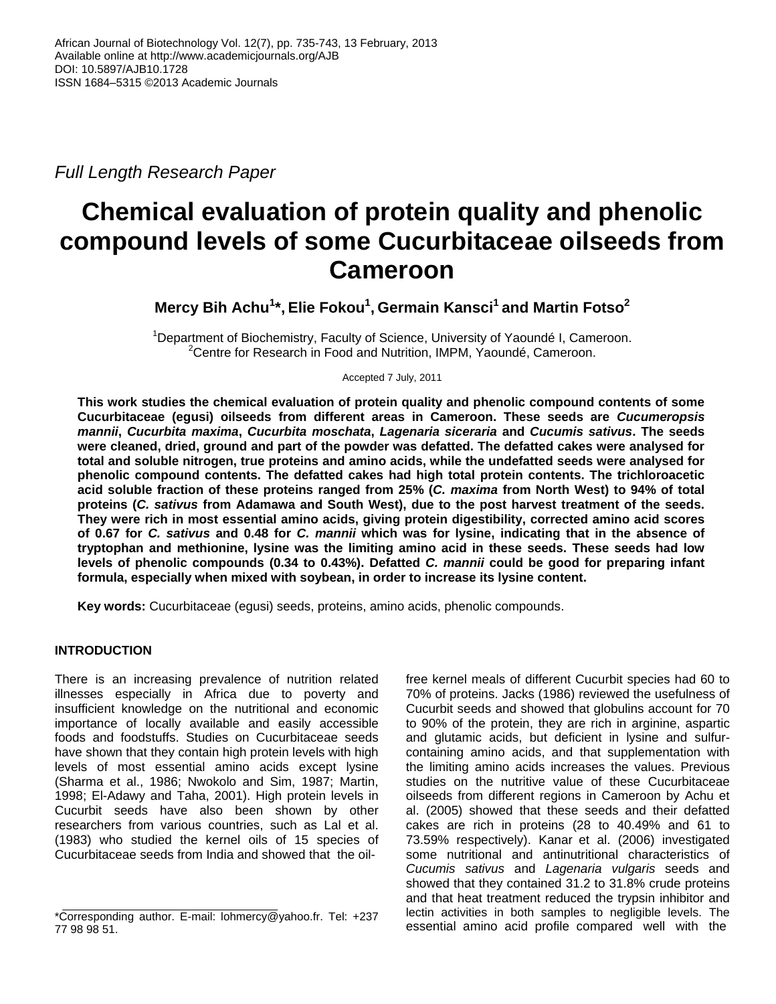*Full Length Research Paper*

# **Chemical evaluation of protein quality and phenolic compound levels of some Cucurbitaceae oilseeds from Cameroon**

**Mercy Bih Achu<sup>1</sup> \*, Elie Fokou<sup>1</sup> , Germain Kansci<sup>1</sup>and Martin Fotso<sup>2</sup>**

<sup>1</sup>Department of Biochemistry, Faculty of Science, University of Yaoundé I, Cameroon. <sup>2</sup>Centre for Research in Food and Nutrition, IMPM, Yaoundé, Cameroon.

Accepted 7 July, 2011

**This work studies the chemical evaluation of protein quality and phenolic compound contents of some Cucurbitaceae (egusi) oilseeds from different areas in Cameroon. These seeds are** *Cucumeropsis mannii***,** *Cucurbita maxima***,** *Cucurbita moschata***,** *Lagenaria siceraria* **and** *Cucumis sativus***. The seeds were cleaned, dried, ground and part of the powder was defatted. The defatted cakes were analysed for total and soluble nitrogen, true proteins and amino acids, while the undefatted seeds were analysed for phenolic compound contents. The defatted cakes had high total protein contents. The trichloroacetic acid soluble fraction of these proteins ranged from 25% (***C. maxima* **from North West) to 94% of total proteins (***C. sativus* **from Adamawa and South West), due to the post harvest treatment of the seeds. They were rich in most essential amino acids, giving protein digestibility, corrected amino acid scores of 0.67 for** *C. sativus* **and 0.48 for** *C. mannii* **which was for lysine, indicating that in the absence of tryptophan and methionine, lysine was the limiting amino acid in these seeds. These seeds had low levels of phenolic compounds (0.34 to 0.43%). Defatted** *C. mannii* **could be good for preparing infant formula, especially when mixed with soybean, in order to increase its lysine content.** 

**Key words:** Cucurbitaceae (egusi) seeds, proteins, amino acids, phenolic compounds.

# **INTRODUCTION**

There is an increasing prevalence of nutrition related illnesses especially in Africa due to poverty and insufficient knowledge on the nutritional and economic importance of locally available and easily accessible foods and foodstuffs. Studies on Cucurbitaceae seeds have shown that they contain high protein levels with high levels of most essential amino acids except lysine (Sharma et al., 1986; Nwokolo and Sim, 1987; Martin, 1998; El-Adawy and Taha, 2001). High protein levels in Cucurbit seeds have also been shown by other researchers from various countries, such as Lal et al. (1983) who studied the kernel oils of 15 species of Cucurbitaceae seeds from India and showed that the oil-

free kernel meals of different Cucurbit species had 60 to 70% of proteins. Jacks (1986) reviewed the usefulness of Cucurbit seeds and showed that globulins account for 70 to 90% of the protein, they are rich in arginine, aspartic and glutamic acids, but deficient in lysine and sulfurcontaining amino acids, and that supplementation with the limiting amino acids increases the values. Previous studies on the nutritive value of these Cucurbitaceae oilseeds from different regions in Cameroon by Achu et al. (2005) showed that these seeds and their defatted cakes are rich in proteins (28 to 40.49% and 61 to 73.59% respectively). Kanar et al. (2006) investigated some nutritional and antinutritional characteristics of *Cucumis sativus* and *Lagenaria vulgaris* seeds and showed that they contained 31.2 to 31.8% crude proteins and that heat treatment reduced the trypsin inhibitor and lectin activities in both samples to negligible levels. The essential amino acid profile compared well with the

<sup>\*</sup>Corresponding author. E-mail: lohmercy@yahoo.fr. Tel: +237 77 98 98 51.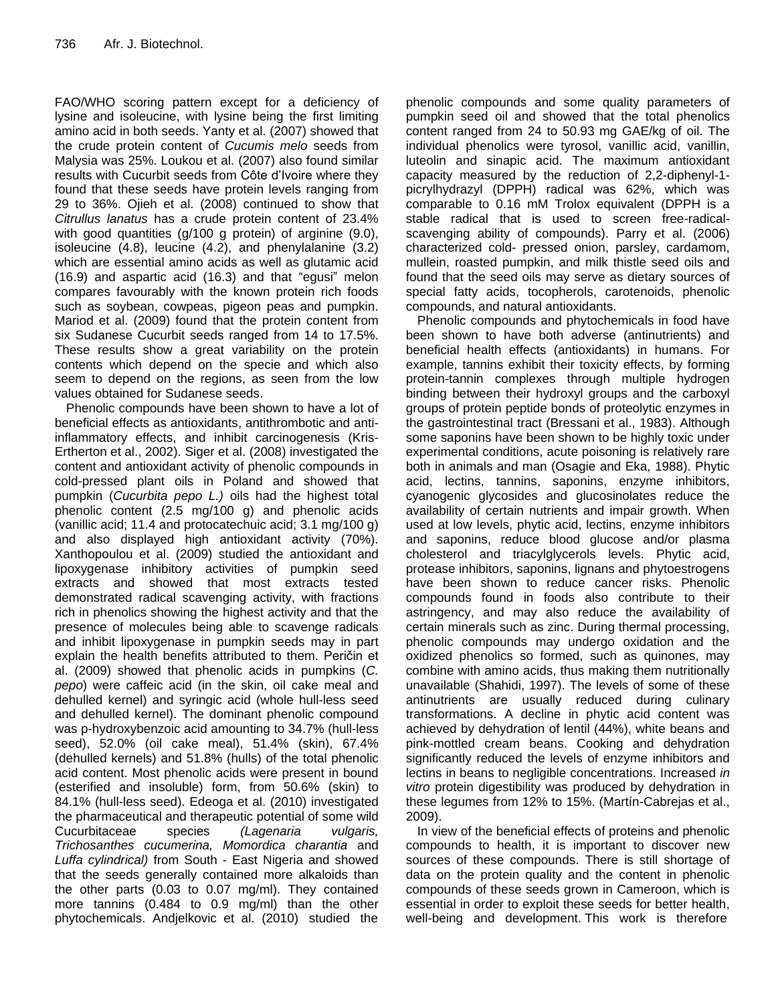FAO/WHO scoring pattern except for a deficiency of lysine and isoleucine, with lysine being the first limiting amino acid in both seeds. Yanty et al. (2007) showed that the crude protein content of *Cucumis melo* seeds from Malysia was 25%. Loukou et al. (2007) also found similar results with Cucurbit seeds from Côte d'Ivoire where they found that these seeds have protein levels ranging from 29 to 36%. Ojieh et al. (2008) continued to show that *Citrullus lanatus* has a crude protein content of 23.4% with good quantities (g/100 g protein) of arginine (9.0), isoleucine (4.8), leucine (4.2), and phenylalanine (3.2) which are essential amino acids as well as glutamic acid (16.9) and aspartic acid (16.3) and that "egusi" melon compares favourably with the known protein rich foods such as soybean, cowpeas, pigeon peas and pumpkin. Mariod et al. (2009) found that the protein content from six Sudanese Cucurbit seeds ranged from 14 to 17.5%. These results show a great variability on the protein contents which depend on the specie and which also seem to depend on the regions, as seen from the low values obtained for Sudanese seeds.

Phenolic compounds have been shown to have a lot of beneficial effects as antioxidants, antithrombotic and antiinflammatory effects, and inhibit carcinogenesis (Kris-Ertherton et al., 2002). Siger et al. (2008) investigated the content and antioxidant activity of phenolic compounds in cold-pressed plant oils in Poland and showed that pumpkin (*Cucurbita pepo L.)* oils had the highest total phenolic content (2.5 mg/100 g) and phenolic acids (vanillic acid; 11.4 and protocatechuic acid; 3.1 mg/100 g) and also displayed high antioxidant activity (70%). Xanthopoulou et al. (2009) studied the antioxidant and lipoxygenase inhibitory activities of pumpkin seed extracts and showed that most extracts tested demonstrated radical scavenging activity, with fractions rich in phenolics showing the highest activity and that the presence of molecules being able to scavenge radicals and inhibit lipoxygenase in pumpkin seeds may in part explain the health benefits attributed to them. Peričin et al. (2009) showed that phenolic acids in pumpkins (*C. pepo*) were caffeic acid (in the skin, oil cake meal and dehulled kernel) and syringic acid (whole hull-less seed and dehulled kernel). The dominant phenolic compound was p-hydroxybenzoic acid amounting to 34.7% (hull-less seed), 52.0% (oil cake meal), 51.4% (skin), 67.4% (dehulled kernels) and 51.8% (hulls) of the total phenolic acid content. Most phenolic acids were present in bound (esterified and insoluble) form, from 50.6% (skin) to 84.1% (hull-less seed). Edeoga et al. (2010) investigated the pharmaceutical and therapeutic potential of some wild Cucurbitaceae species *(Lagenaria vulgaris, Trichosanthes cucumerina, Momordica charantia* and *Luffa cylindrical)* from South - East Nigeria and showed that the seeds generally contained more alkaloids than the other parts (0.03 to 0.07 mg/ml). They contained more tannins (0.484 to 0.9 mg/ml) than the other phytochemicals. Andjelkovic et al. (2010) studied the

phenolic compounds and some quality parameters of pumpkin seed oil and showed that the total phenolics content ranged from 24 to 50.93 mg GAE/kg of oil. The individual phenolics were tyrosol, vanillic acid, vanillin, luteolin and sinapic acid. The maximum antioxidant capacity measured by the reduction of 2,2-diphenyl-1 picrylhydrazyl (DPPH) radical was 62%, which was comparable to 0.16 mM Trolox equivalent (DPPH is a stable radical that is used to screen free-radicalscavenging ability of compounds). Parry et al. (2006) characterized cold- pressed onion, parsley, cardamom, mullein, roasted pumpkin, and milk thistle seed oils and found that the seed oils may serve as dietary sources of special fatty acids, tocopherols, carotenoids, phenolic compounds, and natural antioxidants.

Phenolic compounds and phytochemicals in food have been shown to have both adverse (antinutrients) and beneficial health effects (antioxidants) in humans. For example, tannins exhibit their toxicity effects, by forming protein-tannin complexes through multiple hydrogen binding between their hydroxyl groups and the carboxyl groups of protein peptide bonds of proteolytic enzymes in the gastrointestinal tract (Bressani et al., 1983). Although some saponins have been shown to be highly toxic under experimental conditions, acute poisoning is relatively rare both in animals and man (Osagie and Eka, 1988). Phytic acid, lectins, tannins, saponins, enzyme inhibitors, cyanogenic glycosides and glucosinolates reduce the availability of certain nutrients and impair growth. When used at low levels, phytic acid, lectins, enzyme inhibitors and saponins, reduce blood glucose and/or plasma cholesterol and triacylglycerols levels. Phytic acid, protease inhibitors, saponins, lignans and phytoestrogens have been shown to reduce cancer risks. Phenolic compounds found in foods also contribute to their astringency, and may also reduce the availability of certain minerals such as zinc. During thermal processing, phenolic compounds may undergo oxidation and the oxidized phenolics so formed, such as quinones, may combine with amino acids, thus making them nutritionally unavailable (Shahidi, 1997). The levels of some of these antinutrients are usually reduced during culinary transformations. A decline in phytic acid content was achieved by dehydration of lentil (44%), white beans and pink-mottled cream beans. Cooking and dehydration significantly reduced the levels of enzyme inhibitors and lectins in beans to negligible concentrations. Increased *in vitro* protein digestibility was produced by dehydration in these legumes from 12% to 15%. (Martín-Cabrejas et al., 2009).

In view of the beneficial effects of proteins and phenolic compounds to health, it is important to discover new sources of these compounds. There is still shortage of data on the protein quality and the content in phenolic compounds of these seeds grown in Cameroon, which is essential in order to exploit these seeds for better health, well-being and development. This work is therefore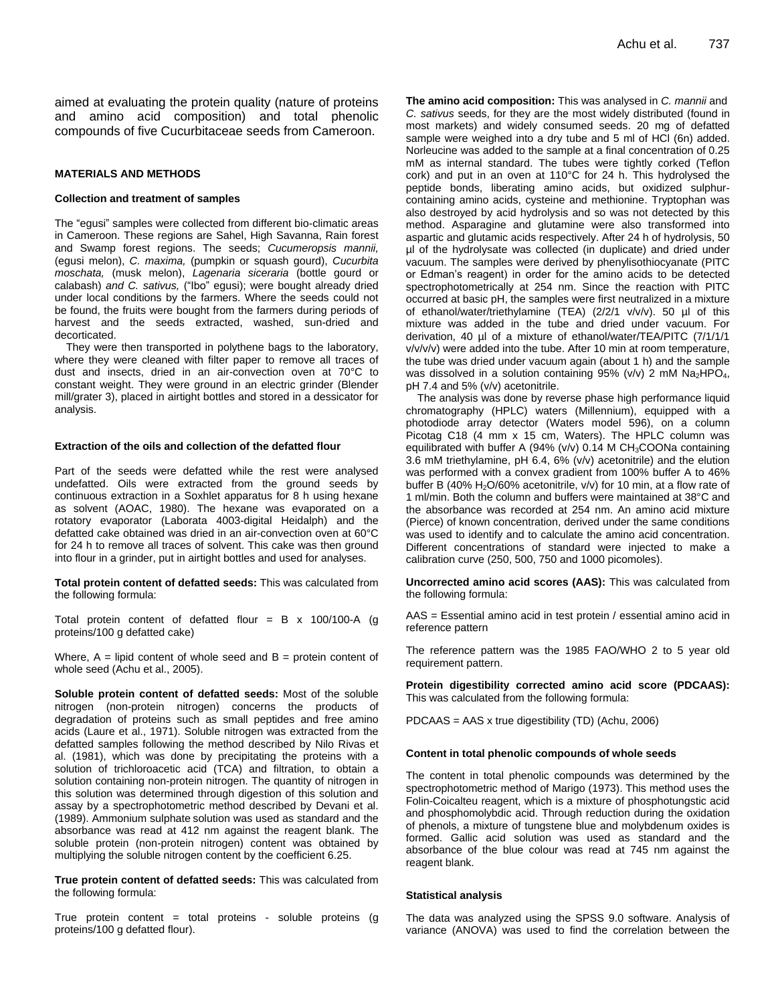aimed at evaluating the protein quality (nature of proteins and amino acid composition) and total phenolic compounds of five Cucurbitaceae seeds from Cameroon.

### **MATERIALS AND METHODS**

#### **Collection and treatment of samples**

The "egusi" samples were collected from different bio-climatic areas in Cameroon. These regions are Sahel, High Savanna, Rain forest and Swamp forest regions. The seeds; *Cucumeropsis mannii,* (egusi melon), *C. maxima,* (pumpkin or squash gourd), *Cucurbita moschata,* (musk melon), *Lagenaria siceraria* (bottle gourd or calabash) *and C. sativus,* ("Ibo" egusi); were bought already dried under local conditions by the farmers. Where the seeds could not be found, the fruits were bought from the farmers during periods of harvest and the seeds extracted, washed, sun-dried and decorticated.

They were then transported in polythene bags to the laboratory, where they were cleaned with filter paper to remove all traces of dust and insects, dried in an air-convection oven at 70°C to constant weight. They were ground in an electric grinder (Blender mill/grater 3), placed in airtight bottles and stored in a dessicator for analysis.

## **Extraction of the oils and collection of the defatted flour**

Part of the seeds were defatted while the rest were analysed undefatted. Oils were extracted from the ground seeds by continuous extraction in a Soxhlet apparatus for 8 h using hexane as solvent (AOAC, 1980). The hexane was evaporated on a rotatory evaporator (Laborata 4003-digital Heidalph) and the defatted cake obtained was dried in an air-convection oven at 60°C for 24 h to remove all traces of solvent. This cake was then ground into flour in a grinder, put in airtight bottles and used for analyses.

**Total protein content of defatted seeds:** This was calculated from the following formula:

Total protein content of defatted flour =  $B \times 100/100-A$  (g proteins/100 g defatted cake)

Where,  $A =$  lipid content of whole seed and  $B =$  protein content of whole seed (Achu et al., 2005).

**Soluble protein content of defatted seeds:** Most of the soluble nitrogen (non-protein nitrogen) concerns the products of degradation of proteins such as small peptides and free amino acids (Laure et al., 1971). Soluble nitrogen was extracted from the defatted samples following the method described by Nilo Rivas et al. (1981), which was done by precipitating the proteins with a solution of trichloroacetic acid (TCA) and filtration, to obtain a solution containing non-protein nitrogen. The quantity of nitrogen in this solution was determined through digestion of this solution and assay by a spectrophotometric method described by Devani et al. (1989). Ammonium sulphate solution was used as standard and the absorbance was read at 412 nm against the reagent blank. The soluble protein (non-protein nitrogen) content was obtained by multiplying the soluble nitrogen content by the coefficient 6.25.

**True protein content of defatted seeds:** This was calculated from the following formula:

True protein content = total proteins - soluble proteins (g proteins/100 g defatted flour).

**The amino acid composition:** This was analysed in *C. mannii* and *C. sativus* seeds, for they are the most widely distributed (found in most markets) and widely consumed seeds. 20 mg of defatted sample were weighed into a dry tube and 5 ml of HCl (6n) added. Norleucine was added to the sample at a final concentration of 0.25 mM as internal standard. The tubes were tightly corked (Teflon cork) and put in an oven at 110°C for 24 h. This hydrolysed the peptide bonds, liberating amino acids, but oxidized sulphurcontaining amino acids, cysteine and methionine. Tryptophan was also destroyed by acid hydrolysis and so was not detected by this method. Asparagine and glutamine were also transformed into aspartic and glutamic acids respectively. After 24 h of hydrolysis, 50 µl of the hydrolysate was collected (in duplicate) and dried under vacuum. The samples were derived by phenylisothiocyanate (PITC or Edman's reagent) in order for the amino acids to be detected spectrophotometrically at 254 nm. Since the reaction with PITC occurred at basic pH, the samples were first neutralized in a mixture of ethanol/water/triethylamine (TEA) (2/2/1 v/v/v). 50 µl of this mixture was added in the tube and dried under vacuum. For derivation, 40 µl of a mixture of ethanol/water/TEA/PITC (7/1/1/1 v/v/v/v) were added into the tube. After 10 min at room temperature, the tube was dried under vacuum again (about 1 h) and the sample was dissolved in a solution containing 95% (v/v) 2 mM  $Na<sub>2</sub>HPO<sub>4</sub>$ , pH 7.4 and 5% (v/v) acetonitrile.

The analysis was done by reverse phase high performance liquid chromatography (HPLC) waters (Millennium), equipped with a photodiode array detector (Waters model 596), on a column Picotag C18 (4 mm x 15 cm, Waters). The HPLC column was equilibrated with buffer A (94% (v/v)  $0.14$  M CH<sub>3</sub>COONa containing 3.6 mM triethylamine, pH 6.4, 6% (v/v) acetonitrile) and the elution was performed with a convex gradient from 100% buffer A to 46% buffer B (40%  $H<sub>2</sub>O/60%$  acetonitrile,  $v/v$ ) for 10 min, at a flow rate of 1 ml/min. Both the column and buffers were maintained at 38°C and the absorbance was recorded at 254 nm. An amino acid mixture (Pierce) of known concentration, derived under the same conditions was used to identify and to calculate the amino acid concentration. Different concentrations of standard were injected to make a calibration curve (250, 500, 750 and 1000 picomoles).

**Uncorrected amino acid scores (AAS):** This was calculated from the following formula:

AAS = Essential amino acid in test protein / essential amino acid in reference pattern

The reference pattern was the 1985 FAO/WHO 2 to 5 year old requirement pattern.

**Protein digestibility corrected amino acid score (PDCAAS):**  This was calculated from the following formula:

PDCAAS = AAS x true digestibility (TD) (Achu, 2006)

#### **Content in total phenolic compounds of whole seeds**

The content in total phenolic compounds was determined by the spectrophotometric method of Marigo (1973). This method uses the Folin-Coicalteu reagent, which is a mixture of phosphotungstic acid and phosphomolybdic acid. Through reduction during the oxidation of phenols, a mixture of tungstene blue and molybdenum oxides is formed. Gallic acid solution was used as standard and the absorbance of the blue colour was read at 745 nm against the reagent blank.

#### **Statistical analysis**

The data was analyzed using the SPSS 9.0 software. Analysis of variance (ANOVA) was used to find the correlation between the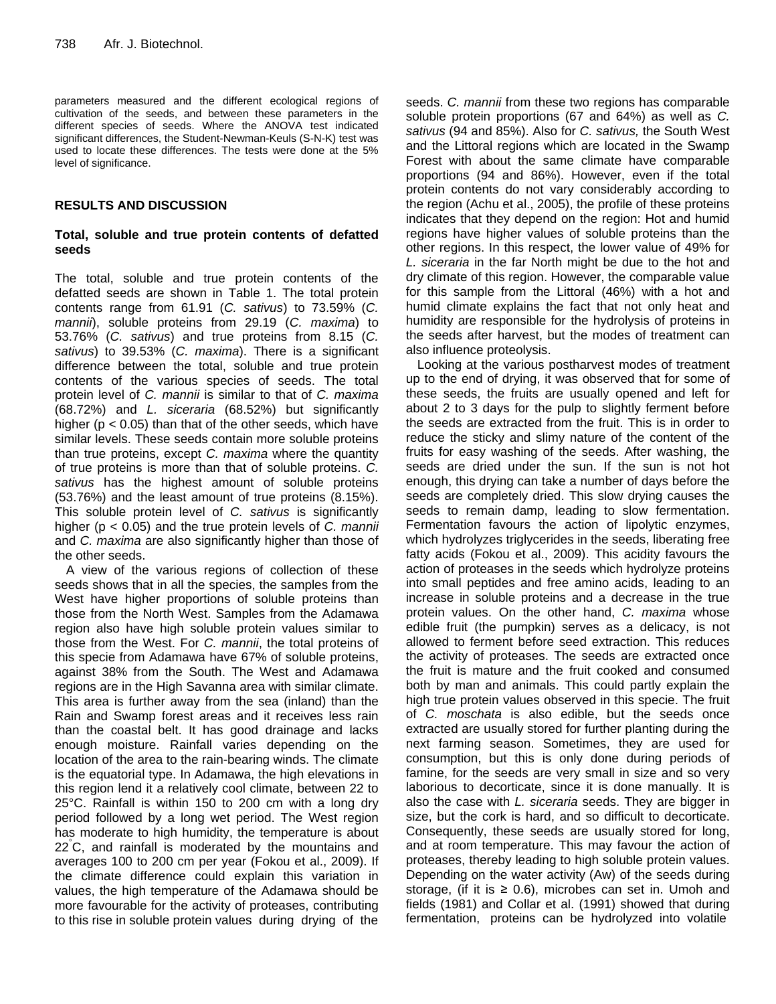parameters measured and the different ecological regions of cultivation of the seeds, and between these parameters in the different species of seeds. Where the ANOVA test indicated significant differences, the Student-Newman-Keuls (S-N-K) test was used to locate these differences. The tests were done at the 5% level of significance.

# **RESULTS AND DISCUSSION**

# **Total, soluble and true protein contents of defatted seeds**

The total, soluble and true protein contents of the defatted seeds are shown in Table 1. The total protein contents range from 61.91 (*C. sativus*) to 73.59% (*C. mannii*), soluble proteins from 29.19 (*C. maxima*) to 53.76% (*C. sativus*) and true proteins from 8.15 (*C. sativus*) to 39.53% (*C. maxima*). There is a significant difference between the total, soluble and true protein contents of the various species of seeds. The total protein level of *C. mannii* is similar to that of *C. maxima* (68.72%) and *L. siceraria* (68.52%) but significantly higher ( $p < 0.05$ ) than that of the other seeds, which have similar levels. These seeds contain more soluble proteins than true proteins, except *C. maxima* where the quantity of true proteins is more than that of soluble proteins. *C. sativus* has the highest amount of soluble proteins (53.76%) and the least amount of true proteins (8.15%). This soluble protein level of *C. sativus* is significantly higher (p < 0.05) and the true protein levels of *C. mannii* and *C. maxima* are also significantly higher than those of the other seeds.

A view of the various regions of collection of these seeds shows that in all the species, the samples from the West have higher proportions of soluble proteins than those from the North West. Samples from the Adamawa region also have high soluble protein values similar to those from the West. For *C. mannii*, the total proteins of this specie from Adamawa have 67% of soluble proteins, against 38% from the South. The West and Adamawa regions are in the High Savanna area with similar climate. This area is further away from the sea (inland) than the Rain and Swamp forest areas and it receives less rain than the coastal belt. It has good drainage and lacks enough moisture. Rainfall varies depending on the location of the area to the rain-bearing winds. The climate is the equatorial type. In Adamawa, the high elevations in this region lend it a relatively cool climate, between 22 to 25°C. Rainfall is within 150 to 200 cm with a long dry period followed by a long wet period. The West region has moderate to high [humidity,](http://en.wikipedia.org/wiki/Humidity) the temperature is about 22°C, and rainfall is moderated by the mountains and averages 100 to 200 cm per year (Fokou et al., 2009). If the climate difference could explain this variation in values, the high temperature of the Adamawa should be more favourable for the activity of proteases, contributing to this rise in soluble protein values during drying of the

seeds. *C. mannii* from these two regions has comparable soluble protein proportions (67 and 64%) as well as *C. sativus* (94 and 85%). Also for *C. sativus,* the South West and the Littoral regions which are located in the Swamp Forest with about the same climate have comparable proportions (94 and 86%). However, even if the total protein contents do not vary considerably according to the region (Achu et al., 2005), the profile of these proteins indicates that they depend on the region: Hot and humid regions have higher values of soluble proteins than the other regions. In this respect, the lower value of 49% for *L. siceraria* in the far North might be due to the hot and dry climate of this region. However, the comparable value for this sample from the Littoral (46%) with a hot and humid climate explains the fact that not only heat and humidity are responsible for the hydrolysis of proteins in the seeds after harvest, but the modes of treatment can also influence proteolysis.

Looking at the various postharvest modes of treatment up to the end of drying, it was observed that for some of these seeds, the fruits are usually opened and left for about 2 to 3 days for the pulp to slightly ferment before the seeds are extracted from the fruit. This is in order to reduce the sticky and slimy nature of the content of the fruits for easy washing of the seeds. After washing, the seeds are dried under the sun. If the sun is not hot enough, this drying can take a number of days before the seeds are completely dried. This slow drying causes the seeds to remain damp, leading to slow fermentation. Fermentation favours the action of lipolytic enzymes, which hydrolyzes triglycerides in the seeds, liberating free fatty acids (Fokou et al., 2009). This acidity favours the action of proteases in the seeds which hydrolyze proteins into small peptides and free amino acids, leading to an increase in soluble proteins and a decrease in the true protein values. On the other hand, *C. maxima* whose edible fruit (the pumpkin) serves as a delicacy, is not allowed to ferment before seed extraction. This reduces the activity of proteases. The seeds are extracted once the fruit is mature and the fruit cooked and consumed both by man and animals. This could partly explain the high true protein values observed in this specie. The fruit of *C. moschata* is also edible, but the seeds once extracted are usually stored for further planting during the next farming season. Sometimes, they are used for consumption, but this is only done during periods of famine, for the seeds are very small in size and so very laborious to decorticate, since it is done manually. It is also the case with *L. siceraria* seeds. They are bigger in size, but the cork is hard, and so difficult to decorticate. Consequently, these seeds are usually stored for long, and at room temperature. This may favour the action of proteases, thereby leading to high soluble protein values. Depending on the water activity (Aw) of the seeds during storage, (if it is  $\geq$  0.6), microbes can set in. Umoh and fields (1981) and Collar et al. (1991) showed that during fermentation, proteins can be hydrolyzed into volatile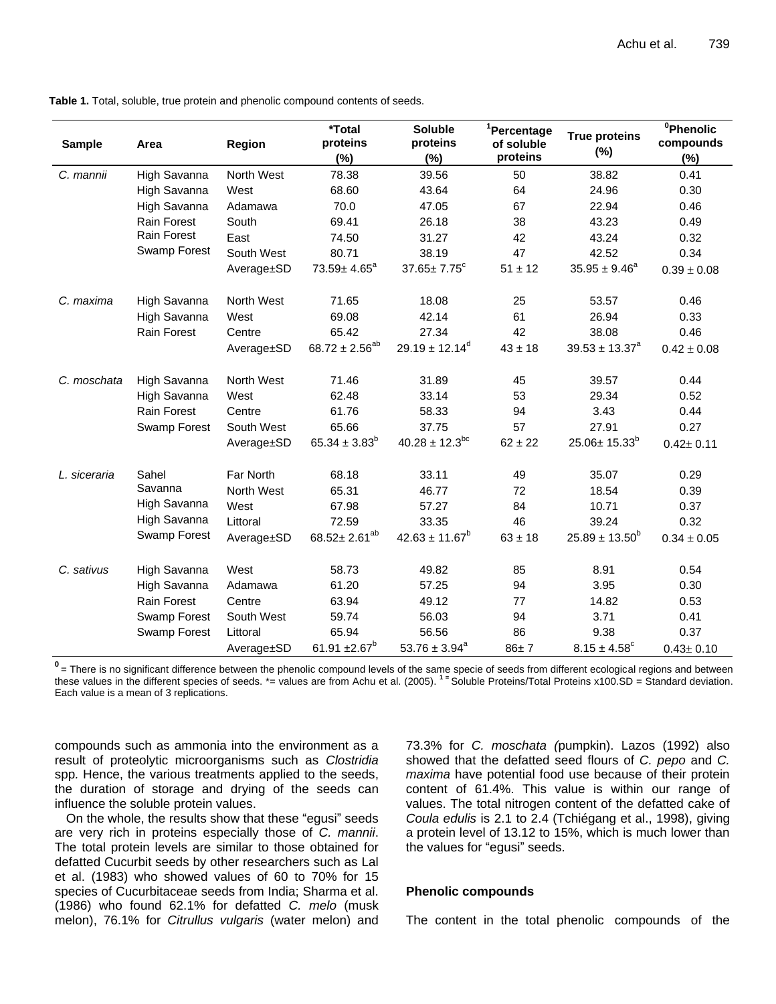**Table 1.** Total, soluble, true protein and phenolic compound contents of seeds.

| <b>Sample</b> | Area               | <b>Region</b> | *Total<br>proteins<br>(%) | <b>Soluble</b><br>proteins<br>(%) | <sup>1</sup> Percentage<br>of soluble<br>proteins | <b>True proteins</b><br>$(\%)$ | $^0$ Phenolic<br>compounds<br>(%) |
|---------------|--------------------|---------------|---------------------------|-----------------------------------|---------------------------------------------------|--------------------------------|-----------------------------------|
| C. mannii     | High Savanna       | North West    | 78.38                     | 39.56                             | 50                                                | 38.82                          | 0.41                              |
|               | High Savanna       | West          | 68.60                     | 43.64                             | 64                                                | 24.96                          | 0.30                              |
|               | High Savanna       | Adamawa       | 70.0                      | 47.05                             | 67                                                | 22.94                          | 0.46                              |
|               | <b>Rain Forest</b> | South         | 69.41                     | 26.18                             | 38                                                | 43.23                          | 0.49                              |
|               | <b>Rain Forest</b> | East          | 74.50                     | 31.27                             | 42                                                | 43.24                          | 0.32                              |
|               | Swamp Forest       | South West    | 80.71                     | 38.19                             | 47                                                | 42.52                          | 0.34                              |
|               |                    | Average±SD    | $73.59 \pm 4.65^a$        | $37.65 \pm 7.75$ <sup>c</sup>     | $51 \pm 12$                                       | $35.95 \pm 9.46^a$             | $0.39 \pm 0.08$                   |
| C. maxima     | High Savanna       | North West    | 71.65                     | 18.08                             | 25                                                | 53.57                          | 0.46                              |
|               | High Savanna       | West          | 69.08                     | 42.14                             | 61                                                | 26.94                          | 0.33                              |
|               | Rain Forest        | Centre        | 65.42                     | 27.34                             | 42                                                | 38.08                          | 0.46                              |
|               |                    | Average±SD    | $68.72 \pm 2.56^{ab}$     | $29.19 \pm 12.14^d$               | $43 \pm 18$                                       | $39.53 \pm 13.37^a$            | $0.42 \pm 0.08$                   |
| C. moschata   | High Savanna       | North West    | 71.46                     | 31.89                             | 45                                                | 39.57                          | 0.44                              |
|               | High Savanna       | West          | 62.48                     | 33.14                             | 53                                                | 29.34                          | 0.52                              |
|               | Rain Forest        | Centre        | 61.76                     | 58.33                             | 94                                                | 3.43                           | 0.44                              |
|               | Swamp Forest       | South West    | 65.66                     | 37.75                             | 57                                                | 27.91                          | 0.27                              |
|               |                    | Average±SD    | $65.34 \pm 3.83^b$        | $40.28 \pm 12.3$ <sup>bc</sup>    | $62 \pm 22$                                       | $25.06 \pm 15.33^{b}$          | $0.42 \pm 0.11$                   |
| L. siceraria  | Sahel              | Far North     | 68.18                     | 33.11                             | 49                                                | 35.07                          | 0.29                              |
|               | Savanna            | North West    | 65.31                     | 46.77                             | 72                                                | 18.54                          | 0.39                              |
|               | High Savanna       | West          | 67.98                     | 57.27                             | 84                                                | 10.71                          | 0.37                              |
|               | High Savanna       | Littoral      | 72.59                     | 33.35                             | 46                                                | 39.24                          | 0.32                              |
|               | Swamp Forest       | Average±SD    | $68.52 \pm 2.61^{ab}$     | $42.63 \pm 11.67^b$               | $63 \pm 18$                                       | $25.89 \pm 13.50^b$            | $0.34 \pm 0.05$                   |
| C. sativus    | High Savanna       | West          | 58.73                     | 49.82                             | 85                                                | 8.91                           | 0.54                              |
|               | High Savanna       | Adamawa       | 61.20                     | 57.25                             | 94                                                | 3.95                           | 0.30                              |
|               | Rain Forest        | Centre        | 63.94                     | 49.12                             | 77                                                | 14.82                          | 0.53                              |
|               | Swamp Forest       | South West    | 59.74                     | 56.03                             | 94                                                | 3.71                           | 0.41                              |
|               | Swamp Forest       | Littoral      | 65.94                     | 56.56                             | 86                                                | 9.38                           | 0.37                              |
|               |                    | Average±SD    | 61.91 $\pm 2.67^{\circ}$  | $53.76 \pm 3.94^a$                | $86 + 7$                                          | $8.15 \pm 4.58^{\circ}$        | $0.43 \pm 0.10$                   |

**0** = There is no significant difference between the phenolic compound levels of the same specie of seeds from different ecological regions and between these values in the different species of seeds. \*= values are from Achu et al. (2005). <sup>1 =</sup> Soluble Proteins/Total Proteins x100.SD = Standard deviation. Each value is a mean of 3 replications.

compounds such as ammonia into the environment as a result of proteolytic microorganisms such as *Clostridia*  spp*.* Hence, the various treatments applied to the seeds, the duration of storage and drying of the seeds can influence the soluble protein values.

On the whole, the results show that these "egusi" seeds are very rich in proteins especially those of *C. mannii*. The total protein levels are similar to those obtained for defatted Cucurbit seeds by other researchers such as Lal et al. (1983) who showed values of 60 to 70% for 15 species of Cucurbitaceae seeds from India; Sharma et al. (1986) who found 62.1% for defatted *C. melo* (musk melon), 76.1% for *Citrullus vulgaris* (water melon) and 73.3% for *C. moschata (*pumpkin). Lazos (1992) also showed that the defatted seed flours of *C. pepo* and *C. maxima* have potential food use because of their protein content of 61.4%. This value is within our range of values. The total nitrogen content of the defatted cake of *Coula edulis* is 2.1 to 2.4 (Tchiégang et al., 1998), giving a protein level of 13.12 to 15%, which is much lower than the values for "egusi" seeds.

## **Phenolic compounds**

The content in the total phenolic compounds of the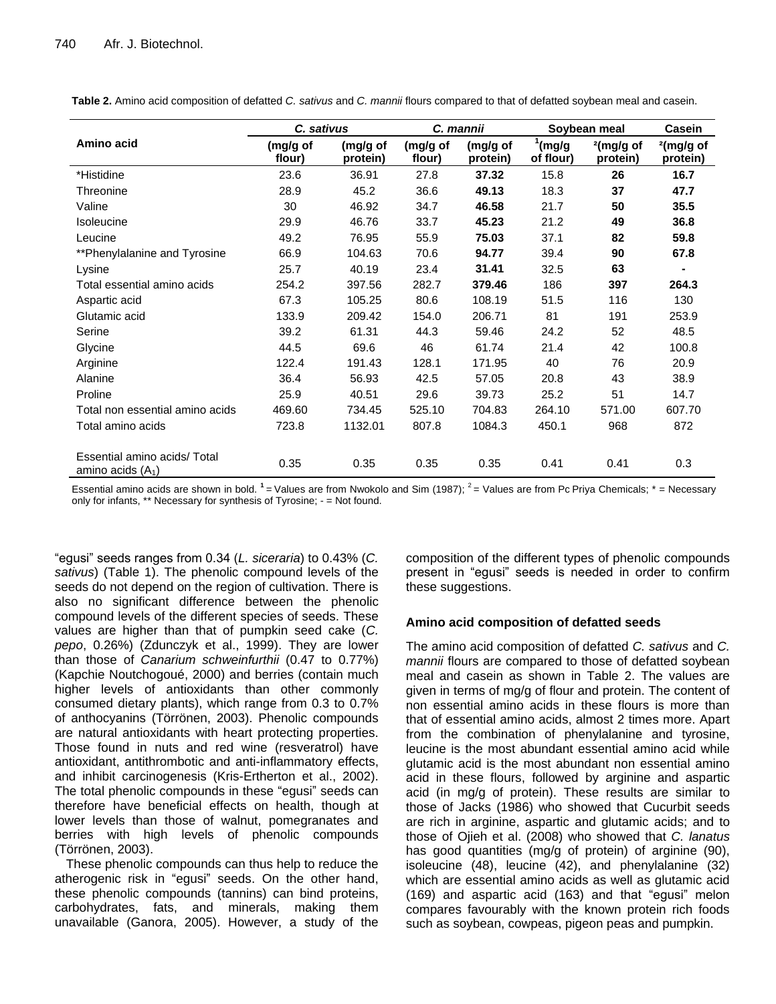**Table 2.** Amino acid composition of defatted *C. sativus* and *C. mannii* flours compared to that of defatted soybean meal and casein.

|                                                     | C. sativus         |                      | C. mannii          |                      | Soybean meal                     |                          | Casein                   |
|-----------------------------------------------------|--------------------|----------------------|--------------------|----------------------|----------------------------------|--------------------------|--------------------------|
| Amino acid                                          | (mg/g of<br>flour) | (mg/g of<br>protein) | (mg/g of<br>flour) | (mg/g of<br>protein) | $\frac{1}{2}$ (mg/g<br>of flour) | $2$ (mg/g of<br>protein) | $2$ (mg/g of<br>protein) |
| *Histidine                                          | 23.6               | 36.91                | 27.8               | 37.32                | 15.8                             | 26                       | 16.7                     |
| Threonine                                           | 28.9               | 45.2                 | 36.6               | 49.13                | 18.3                             | 37                       | 47.7                     |
| Valine                                              | 30                 | 46.92                | 34.7               | 46.58                | 21.7                             | 50                       | 35.5                     |
| <b>Isoleucine</b>                                   | 29.9               | 46.76                | 33.7               | 45.23                | 21.2                             | 49                       | 36.8                     |
| Leucine                                             | 49.2               | 76.95                | 55.9               | 75.03                | 37.1                             | 82                       | 59.8                     |
| **Phenylalanine and Tyrosine                        | 66.9               | 104.63               | 70.6               | 94.77                | 39.4                             | 90                       | 67.8                     |
| Lysine                                              | 25.7               | 40.19                | 23.4               | 31.41                | 32.5                             | 63                       |                          |
| Total essential amino acids                         | 254.2              | 397.56               | 282.7              | 379.46               | 186                              | 397                      | 264.3                    |
| Aspartic acid                                       | 67.3               | 105.25               | 80.6               | 108.19               | 51.5                             | 116                      | 130                      |
| Glutamic acid                                       | 133.9              | 209.42               | 154.0              | 206.71               | 81                               | 191                      | 253.9                    |
| Serine                                              | 39.2               | 61.31                | 44.3               | 59.46                | 24.2                             | 52                       | 48.5                     |
| Glycine                                             | 44.5               | 69.6                 | 46                 | 61.74                | 21.4                             | 42                       | 100.8                    |
| Arginine                                            | 122.4              | 191.43               | 128.1              | 171.95               | 40                               | 76                       | 20.9                     |
| Alanine                                             | 36.4               | 56.93                | 42.5               | 57.05                | 20.8                             | 43                       | 38.9                     |
| Proline                                             | 25.9               | 40.51                | 29.6               | 39.73                | 25.2                             | 51                       | 14.7                     |
| Total non essential amino acids                     | 469.60             | 734.45               | 525.10             | 704.83               | 264.10                           | 571.00                   | 607.70                   |
| Total amino acids                                   | 723.8              | 1132.01              | 807.8              | 1084.3               | 450.1                            | 968                      | 872                      |
| Essential amino acids/ Total<br>amino acids $(A_1)$ | 0.35               | 0.35                 | 0.35               | 0.35                 | 0.41                             | 0.41                     | 0.3                      |

Essential amino acids are shown in bold. <sup>1</sup> = Values are from Nwokolo and Sim (1987); <sup>2</sup> = Values are from Pc Priya Chemicals; \* = Necessary only for infants, \*\* Necessary for synthesis of Tyrosine; - = Not found.

"egusi" seeds ranges from 0.34 (*L. siceraria*) to 0.43% (*C. sativus*) (Table 1). The phenolic compound levels of the seeds do not depend on the region of cultivation. There is also no significant difference between the phenolic compound levels of the different species of seeds. These values are higher than that of pumpkin seed cake (*C. pepo*, 0.26%) (Zdunczyk et al., 1999). They are lower than those of *Canarium schweinfurthii* (0.47 to 0.77%) (Kapchie Noutchogoué, 2000) and berries (contain much higher levels of antioxidants than other commonly consumed dietary plants), which range from 0.3 to 0.7% of anthocyanins (Törrönen, 2003). Phenolic compounds are natural antioxidants with heart protecting properties. Those found in nuts and red wine (resveratrol) have antioxidant, antithrombotic and anti-inflammatory effects, and inhibit carcinogenesis (Kris-Ertherton et al., 2002). The total phenolic compounds in these "egusi" seeds can therefore have beneficial effects on health, though at lower levels than those of walnut, pomegranates and berries with high levels of phenolic compounds (Törrönen, 2003).

These phenolic compounds can thus help to reduce the atherogenic risk in "egusi" seeds. On the other hand, these phenolic compounds (tannins) can bind proteins, carbohydrates, fats, and minerals, making them unavailable (Ganora, 2005). However, a study of the

composition of the different types of phenolic compounds present in "egusi" seeds is needed in order to confirm these suggestions.

## **Amino acid composition of defatted seeds**

The amino acid composition of defatted *C. sativus* and *C. mannii* flours are compared to those of defatted soybean meal and casein as shown in Table 2. The values are given in terms of mg/g of flour and protein. The content of non essential amino acids in these flours is more than that of essential amino acids, almost 2 times more. Apart from the combination of phenylalanine and tyrosine, leucine is the most abundant essential amino acid while glutamic acid is the most abundant non essential amino acid in these flours, followed by arginine and aspartic acid (in mg/g of protein). These results are similar to those of Jacks (1986) who showed that Cucurbit seeds are rich in arginine, aspartic and glutamic acids; and to those of Ojieh et al. (2008) who showed that *C. lanatus* has good quantities (mg/g of protein) of arginine (90), isoleucine (48), leucine (42), and phenylalanine (32) which are essential amino acids as well as glutamic acid (169) and aspartic acid (163) and that "egusi" melon compares favourably with the known protein rich foods such as soybean, cowpeas, pigeon peas and pumpkin.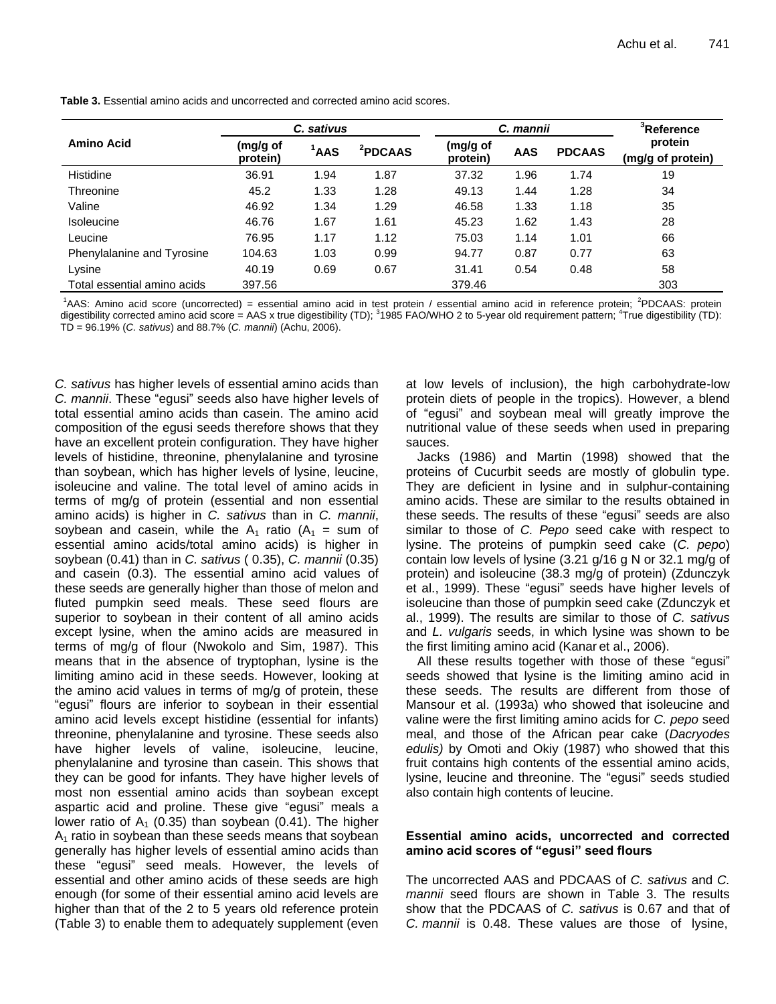|                             | C. sativus           |                  |                     | C. mannii            |            |               | <sup>3</sup> Reference       |  |
|-----------------------------|----------------------|------------------|---------------------|----------------------|------------|---------------|------------------------------|--|
| <b>Amino Acid</b>           | (mg/g of<br>protein) | <sup>1</sup> AAS | <sup>2</sup> PDCAAS | (mg/g of<br>protein) | <b>AAS</b> | <b>PDCAAS</b> | protein<br>(mg/g of protein) |  |
| Histidine                   | 36.91                | 1.94             | 1.87                | 37.32                | 1.96       | 1.74          | 19                           |  |
| Threonine                   | 45.2                 | 1.33             | 1.28                | 49.13                | 1.44       | 1.28          | 34                           |  |
| Valine                      | 46.92                | 1.34             | 1.29                | 46.58                | 1.33       | 1.18          | 35                           |  |
| Isoleucine                  | 46.76                | 1.67             | 1.61                | 45.23                | 1.62       | 1.43          | 28                           |  |
| Leucine                     | 76.95                | 1.17             | 1.12                | 75.03                | 1.14       | 1.01          | 66                           |  |
| Phenylalanine and Tyrosine  | 104.63               | 1.03             | 0.99                | 94.77                | 0.87       | 0.77          | 63                           |  |
| Lysine                      | 40.19                | 0.69             | 0.67                | 31.41                | 0.54       | 0.48          | 58                           |  |
| Total essential amino acids | 397.56               |                  |                     | 379.46               |            |               | 303                          |  |

**Table 3.** Essential amino acids and uncorrected and corrected amino acid scores.

<sup>1</sup>AAS: Amino acid score (uncorrected) = essential amino acid in test protein / essential amino acid in reference protein; <sup>2</sup>PDCAAS: protein digestibility corrected amino acid score = AAS x true digestibility (TD); <sup>3</sup>1985 FAO/WHO 2 to 5-year old requirement pattern; <sup>4</sup>True digestibility (TD): TD = 96.19% (*C. sativus*) and 88.7% (*C. mannii*) (Achu, 2006).

*C. sativus* has higher levels of essential amino acids than *C. mannii*. These "egusi" seeds also have higher levels of total essential amino acids than casein. The amino acid composition of the egusi seeds therefore shows that they have an excellent protein configuration. They have higher levels of histidine, threonine, phenylalanine and tyrosine than soybean, which has higher levels of lysine, leucine, isoleucine and valine. The total level of amino acids in terms of mg/g of protein (essential and non essential amino acids) is higher in *C. sativus* than in *C. mannii*, soybean and casein, while the  $A_1$  ratio ( $A_1$  = sum of essential amino acids/total amino acids) is higher in soybean (0.41) than in *C. sativus* ( 0.35), *C. mannii* (0.35) and casein (0.3). The essential amino acid values of these seeds are generally higher than those of melon and fluted pumpkin seed meals. These seed flours are superior to soybean in their content of all amino acids except lysine, when the amino acids are measured in terms of mg/g of flour (Nwokolo and Sim, 1987). This means that in the absence of tryptophan, lysine is the limiting amino acid in these seeds. However, looking at the amino acid values in terms of mg/g of protein, these "egusi" flours are inferior to soybean in their essential amino acid levels except histidine (essential for infants) threonine, phenylalanine and tyrosine. These seeds also have higher levels of valine, isoleucine, leucine, phenylalanine and tyrosine than casein. This shows that they can be good for infants. They have higher levels of most non essential amino acids than soybean except aspartic acid and proline. These give "egusi" meals a lower ratio of  $A_1$  (0.35) than soybean (0.41). The higher  $A_1$  ratio in soybean than these seeds means that soybean generally has higher levels of essential amino acids than these "egusi" seed meals. However, the levels of essential and other amino acids of these seeds are high enough (for some of their essential amino acid levels are higher than that of the 2 to 5 years old reference protein (Table 3) to enable them to adequately supplement (even

at low levels of inclusion), the high carbohydrate-low protein diets of people in the tropics). However, a blend of "egusi" and soybean meal will greatly improve the nutritional value of these seeds when used in preparing sauces.

Jacks (1986) and Martin (1998) showed that the proteins of Cucurbit seeds are mostly of globulin type. They are deficient in lysine and in sulphur-containing amino acids. These are similar to the results obtained in these seeds. The results of these "egusi" seeds are also similar to those of *C. Pepo* seed cake with respect to lysine. The proteins of pumpkin seed cake (*C. pepo*) contain low levels of lysine (3.21 g/16 g N or 32.1 mg/g of protein) and isoleucine (38.3 mg/g of protein) (Zdunczyk et al., 1999). These "egusi" seeds have higher levels of isoleucine than those of pumpkin seed cake (Zdunczyk et al., 1999). The results are similar to those of *C. sativus* and *L. vulgaris* seeds, in which lysine was shown to be the first limiting amino acid (Kanar et al., 2006).

All these results together with those of these "egusi" seeds showed that lysine is the limiting amino acid in these seeds. The results are different from those of Mansour et al. (1993a) who showed that isoleucine and valine were the first limiting amino acids for *C. pepo* seed meal, and those of the African pear cake (*Dacryodes edulis)* by Omoti and Okiy (1987) who showed that this fruit contains high contents of the essential amino acids, lysine, leucine and threonine. The "egusi" seeds studied also contain high contents of leucine.

# **Essential amino acids, uncorrected and corrected amino acid scores of "egusi" seed flours**

The uncorrected AAS and PDCAAS of *C. sativus* and *C. mannii* seed flours are shown in Table 3. The results show that the PDCAAS of *C. sativus* is 0.67 and that of *C. mannii* is 0.48. These values are those of lysine,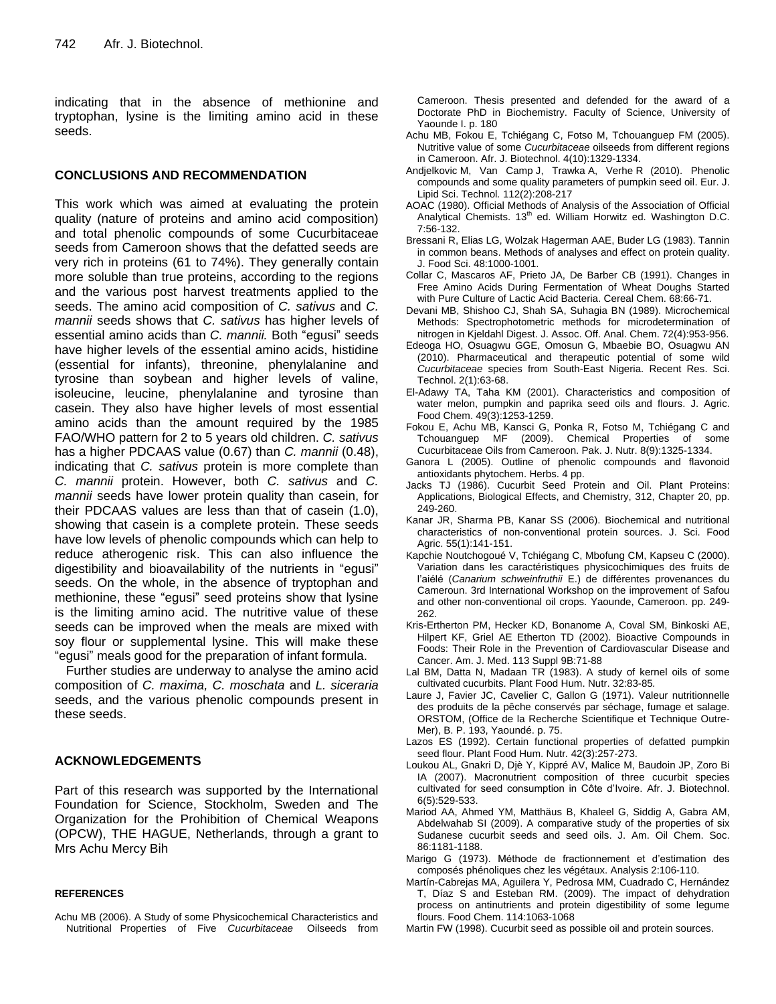indicating that in the absence of methionine and tryptophan, lysine is the limiting amino acid in these seeds.

## **CONCLUSIONS AND RECOMMENDATION**

This work which was aimed at evaluating the protein quality (nature of proteins and amino acid composition) and total phenolic compounds of some Cucurbitaceae seeds from Cameroon shows that the defatted seeds are very rich in proteins (61 to 74%). They generally contain more soluble than true proteins, according to the regions and the various post harvest treatments applied to the seeds. The amino acid composition of *C. sativus* and *C. mannii* seeds shows that *C. sativus* has higher levels of essential amino acids than *C. mannii.* Both "egusi" seeds have higher levels of the essential amino acids, histidine (essential for infants), threonine, phenylalanine and tyrosine than soybean and higher levels of valine, isoleucine, leucine, phenylalanine and tyrosine than casein. They also have higher levels of most essential amino acids than the amount required by the 1985 FAO/WHO pattern for 2 to 5 years old children. *C. sativus*  has a higher PDCAAS value (0.67) than *C. mannii* (0.48), indicating that *C. sativus* protein is more complete than *C. mannii* protein. However, both *C. sativus* and *C. mannii* seeds have lower protein quality than casein, for their PDCAAS values are less than that of casein (1.0), showing that casein is a complete protein. These seeds have low levels of phenolic compounds which can help to reduce atherogenic risk. This can also influence the digestibility and bioavailability of the nutrients in "egusi" seeds. On the whole, in the absence of tryptophan and methionine, these "egusi" seed proteins show that lysine is the limiting amino acid. The nutritive value of these seeds can be improved when the meals are mixed with soy flour or supplemental lysine. This will make these "egusi" meals good for the preparation of infant formula.

Further studies are underway to analyse the amino acid composition of *C. maxima, C. moschata* and *L. siceraria* seeds, and the various phenolic compounds present in these seeds.

## **ACKNOWLEDGEMENTS**

Part of this research was supported by the International Foundation for Science, Stockholm, Sweden and The Organization for the Prohibition of Chemical Weapons (OPCW), THE HAGUE, Netherlands, through a grant to Mrs Achu Mercy Bih

#### **REFERENCES**

Achu MB (2006). A Study of some Physicochemical Characteristics and Nutritional Properties of Five *Cucurbitaceae* Oilseeds from Cameroon. Thesis presented and defended for the award of a Doctorate PhD in Biochemistry. Faculty of Science, University of Yaounde I. p. 180

- Achu MB, Fokou E, Tchiégang C, Fotso M, Tchouanguep FM (2005). Nutritive value of some *Cucurbitaceae* oilseeds from different regions in Cameroon. Afr. J. Biotechnol. 4(10):1329-1334.
- [Andjelkovic](http://www.refdoc.fr/?traduire=en&FormRechercher=submit&FormRechercher_Txt_Recherche_name_attr=auteursNom:%20%28ANDJELKOVIC%29) M, [Van Camp](http://www.refdoc.fr/?traduire=en&FormRechercher=submit&FormRechercher_Txt_Recherche_name_attr=auteursNom:%20%28VAN%20CAMP%29) J, [Trawka](http://www.refdoc.fr/?traduire=en&FormRechercher=submit&FormRechercher_Txt_Recherche_name_attr=auteursNom:%20%28TRAWKA%29) A, [Verhe](http://www.refdoc.fr/?traduire=en&FormRechercher=submit&FormRechercher_Txt_Recherche_name_attr=auteursNom:%20%28VERHE%29) R (2010). Phenolic compounds and some quality parameters of pumpkin seed oil. [Eur. J.](http://www.refdoc.fr/?traduire=en&FormRechercher=submit&FormRechercher_Txt_Recherche_name_attr=listeTitreSerie:%20(European%20journal%20of%20lipid%20science%20and%20technology))  [Lipid Sci. Techn](http://www.refdoc.fr/?traduire=en&FormRechercher=submit&FormRechercher_Txt_Recherche_name_attr=listeTitreSerie:%20(European%20journal%20of%20lipid%20science%20and%20technology))ol*.* 112(2):208-217
- AOAC (1980). Official Methods of Analysis of the Association of Official Analytical Chemists. 13<sup>th</sup> ed. William Horwitz ed. Washington D.C. 7:56-132.
- Bressani R, Elias LG, Wolzak Hagerman AAE, Buder LG (1983). Tannin in common beans. Methods of analyses and effect on protein quality. J. Food Sci. 48:1000-1001.
- Collar C, Mascaros AF, Prieto JA, De Barber CB (1991). Changes in Free Amino Acids During Fermentation of Wheat Doughs Started with Pure Culture of Lactic Acid Bacteria. Cereal Chem. 68:66-71.
- Devani MB, Shishoo CJ, Shah SA, Suhagia BN (1989). Microchemical Methods: Spectrophotometric methods for microdetermination of nitrogen in Kjeldahl Digest. J. Assoc. Off. Anal. Chem. 72(4):953-956.
- Edeoga HO, Osuagwu GGE, Omosun G, Mbaebie BO, Osuagwu AN (2010). Pharmaceutical and therapeutic potential of some wild *Cucurbitaceae* species from South-East Nigeria. Recent Res. Sci. Technol. 2(1):63-68.
- El-Adawy TA, Taha KM (2001). Characteristics and composition of water melon, pumpkin and paprika seed oils and flours. J. Agric. Food Chem. 49(3):1253-1259.
- Fokou E, Achu MB, Kansci G, Ponka R, Fotso M, Tchiégang C and Tchouanguep MF (2009). Chemical Properties of some Cucurbitaceae Oils from Cameroon. Pak. J. Nutr. 8(9):1325-1334.
- Ganora L (2005). Outline of phenolic compounds and flavonoid antioxidants phytochem. Herbs. 4 pp.
- Jacks TJ (1986). Cucurbit Seed Protein and Oil. [Plant Proteins:](file://isbn/9780841209763)  [Applications, Biological Effects, and Chemistry,](file://isbn/9780841209763) 312, Chapter 20, pp. 249-260.
- Kanar JR, Sharma PB, Kanar SS (2006). Biochemical and nutritional characteristics of non-conventional protein sources. J. Sci. [Food](file://journal/1294/home) [Agric.](file://journal/1294/home) [55\(1\)](file://journal/1294/home):141-151.
- Kapchie Noutchogoué V, Tchiégang C, Mbofung CM, Kapseu C (2000). Variation dans les caractéristiques physicochimiques des fruits de l'aiélé (*Canarium schweinfruthii* E.) de différentes provenances du Cameroun. 3rd International Workshop on the improvement of Safou and other non-conventional oil crops. Yaounde, Cameroon. pp. 249- 262.
- Kris-Ertherton PM, Hecker KD, Bonanome A, Coval SM, Binkoski AE, Hilpert KF, Griel AE Etherton TD (2002). Bioactive Compounds in Foods: Their Role in the Prevention of Cardiovascular Disease and Cancer. Am. J. Med. 113 Suppl 9B:71-88
- Lal BM, Datta N, Madaan TR (1983). A study of kernel oils of some cultivated cucurbits. Plant Food Hum. Nutr. 32:83-85*.*
- Laure J, Favier JC, Cavelier C, Gallon G (1971). Valeur nutritionnelle des produits de la pêche conservés par séchage, fumage et salage. ORSTOM, (Office de la Recherche Scientifique et Technique Outre-Mer), B. P. 193, Yaoundé. p. 75.
- Lazos ES (1992). Certain functional properties of defatted pumpkin seed flour. Plant Food Hum. Nutr*.* 42(3):257-273.
- Loukou AL, Gnakri D, Djè Y, Kippré AV, Malice M, Baudoin JP, Zoro Bi IA (2007). Macronutrient composition of three cucurbit species cultivated for seed consumption in Côte d'Ivoire. Afr. J. Biotechnol. 6(5):529-533.
- Mariod AA, Ahmed YM, Matthäus B, Khaleel G, Siddig A, Gabra AM, Abdelwahab SI (2009). A comparative study of the properties of six Sudanese cucurbit seeds and seed oils. J. Am. Oil Chem. Soc. 86:1181-1188.
- Marigo G (1973). Méthode de fractionnement et d'estimation des composés phénoliques chez les végétaux. Analysis 2:106-110.
- Martín-Cabrejas MA, Aguilera Y, Pedrosa MM, Cuadrado C, Hernández T, Díaz S and Esteban RM. (2009). The impact of dehydration process on antinutrients and protein digestibility of some legume flours. Food Chem. 114:1063-1068
- Martin FW (1998). Cucurbit seed as possible oil and protein sources.